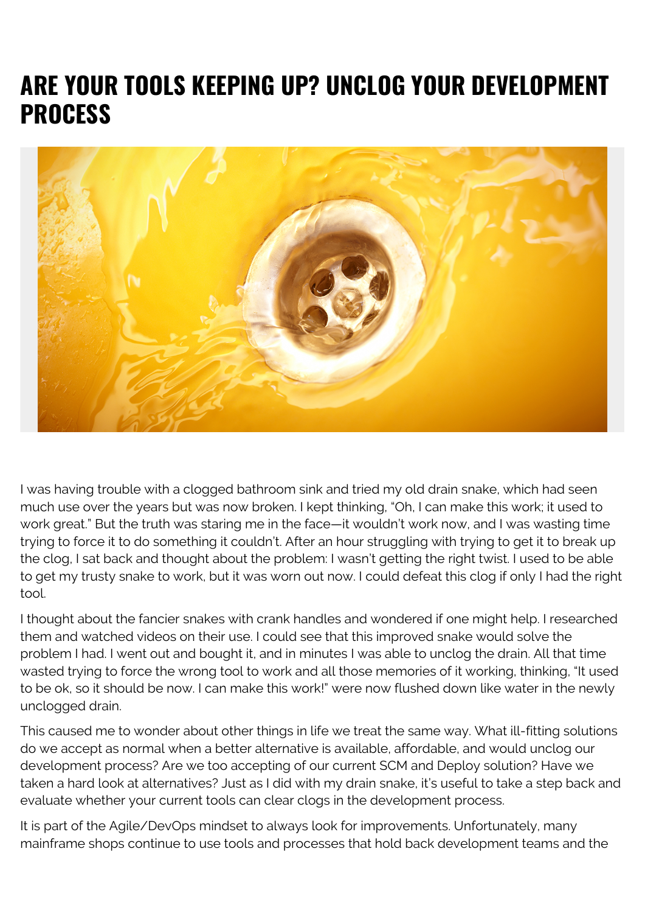## **ARE YOUR TOOLS KEEPING UP? UNCLOG YOUR DEVELOPMENT PROCESS**



I was having trouble with a clogged bathroom sink and tried my old drain snake, which had seen much use over the years but was now broken. I kept thinking, "Oh, I can make this work; it used to work great." But the truth was staring me in the face—it wouldn't work now, and I was wasting time trying to force it to do something it couldn't. After an hour struggling with trying to get it to break up the clog, I sat back and thought about the problem: I wasn't getting the right twist. I used to be able to get my trusty snake to work, but it was worn out now. I could defeat this clog if only I had the right tool.

I thought about the fancier snakes with crank handles and wondered if one might help. I researched them and watched videos on their use. I could see that this improved snake would solve the problem I had. I went out and bought it, and in minutes I was able to unclog the drain. All that time wasted trying to force the wrong tool to work and all those memories of it working, thinking, "It used to be ok, so it should be now. I can make this work!" were now flushed down like water in the newly unclogged drain.

This caused me to wonder about other things in life we treat the same way. What ill-fitting solutions do we accept as normal when a better alternative is available, affordable, and would unclog our development process? Are we too accepting of our current SCM and Deploy solution? Have we taken a hard look at alternatives? Just as I did with my drain snake, it's useful to take a step back and evaluate whether your current tools can clear clogs in the development process.

It is part of the Agile/DevOps mindset to always look for improvements. Unfortunately, many mainframe shops continue to use tools and processes that hold back development teams and the